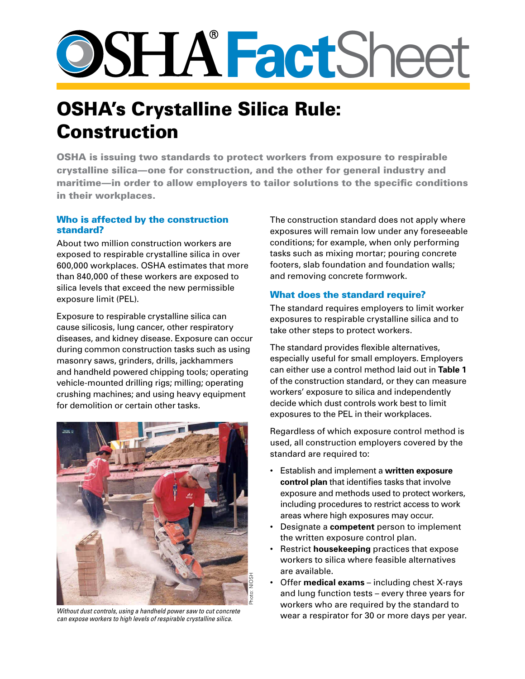# **Fact**Sheet

# OSHA's Crystalline Silica Rule: Construction

OSHA is issuing two standards to protect workers from exposure to respirable crystalline silica—one for construction, and the other for general industry and maritime—in order to allow employers to tailor solutions to the specific conditions in their workplaces.

### Who is affected by the construction standard?

About two million construction workers are exposed to respirable crystalline silica in over 600,000 workplaces. OSHA estimates that more than 840,000 of these workers are exposed to silica levels that exceed the new permissible exposure limit (PEL).

Exposure to respirable crystalline silica can cause silicosis, lung cancer, other respiratory diseases, and kidney disease. Exposure can occur during common construction tasks such as using masonry saws, grinders, drills, jackhammers and handheld powered chipping tools; operating vehicle-mounted drilling rigs; milling; operating crushing machines; and using heavy equipment for demolition or certain other tasks.



*Without dust controls, using a handheld power saw to cut concrete can expose workers to high levels of respirable crystalline silica.*

The construction standard does not apply where exposures will remain low under any foreseeable conditions; for example, when only performing tasks such as mixing mortar; pouring concrete footers, slab foundation and foundation walls; and removing concrete formwork.

## What does the standard require?

The standard requires employers to limit worker exposures to respirable crystalline silica and to take other steps to protect workers.

The standard provides flexible alternatives, especially useful for small employers. Employers can either use a control method laid out in **Table 1** of the construction standard, or they can measure workers' exposure to silica and independently decide which dust controls work best to limit exposures to the PEL in their workplaces.

Regardless of which exposure control method is used, all construction employers covered by the standard are required to:

- Establish and implement a **written exposure control plan** that identifies tasks that involve exposure and methods used to protect workers, including procedures to restrict access to work areas where high exposures may occur.
- Designate a **competent** person to implement the written exposure control plan.
- Restrict **housekeeping** practices that expose workers to silica where feasible alternatives are available.
- Offer **medical exams** including chest X-rays and lung function tests – every three years for workers who are required by the standard to wear a respirator for 30 or more days per year.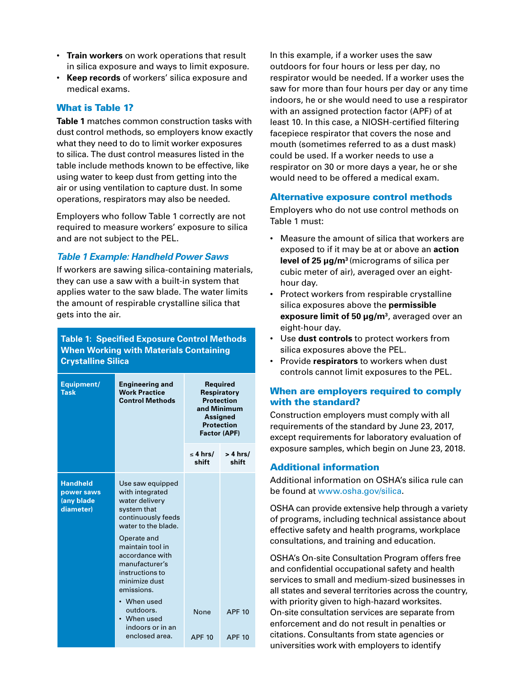- **Train workers** on work operations that result in silica exposure and ways to limit exposure.
- **Keep records** of workers' silica exposure and medical exams.

#### What is Table 1?

**Table 1** matches common construction tasks with dust control methods, so employers know exactly what they need to do to limit worker exposures to silica. The dust control measures listed in the table include methods known to be effective, like using water to keep dust from getting into the air or using ventilation to capture dust. In some operations, respirators may also be needed.

Employers who follow Table 1 correctly are not required to measure workers' exposure to silica and are not subject to the PEL.

#### *Table 1 Example: Handheld Power Saws*

If workers are sawing silica-containing materials, they can use a saw with a built-in system that applies water to the saw blade. The water limits the amount of respirable crystalline silica that gets into the air.

#### **Table 1: Specified Exposure Control Methods When Working with Materials Containing Crystalline Silica**

| Equipment/<br><b>Task</b>                                | <b>Engineering and</b><br><b>Work Practice</b><br><b>Control Methods</b>                                                                                                                                                                                                                                 | <b>Required</b><br>Respiratory<br><b>Protection</b><br>and Minimum<br><b>Assigned</b><br><b>Protection</b><br><b>Factor (APF)</b> |                     |
|----------------------------------------------------------|----------------------------------------------------------------------------------------------------------------------------------------------------------------------------------------------------------------------------------------------------------------------------------------------------------|-----------------------------------------------------------------------------------------------------------------------------------|---------------------|
|                                                          |                                                                                                                                                                                                                                                                                                          | $\leq$ 4 hrs/<br>shift                                                                                                            | $> 4$ hrs/<br>shift |
| <b>Handheld</b><br>power saws<br>(any blade<br>diameter) | Use saw equipped<br>with integrated<br>water delivery<br>system that<br>continuously feeds<br>water to the blade.<br>Operate and<br>maintain tool in<br>accordance with<br>manufacturer's<br>instructions to<br>minimize dust<br>emissions.<br>When used<br>outdoors.<br>• When used<br>indoors or in an | None                                                                                                                              | <b>APF 10</b>       |
|                                                          | enclosed area.                                                                                                                                                                                                                                                                                           | <b>APF 10</b>                                                                                                                     | <b>APF 10</b>       |

In this example, if a worker uses the saw outdoors for four hours or less per day, no respirator would be needed. If a worker uses the saw for more than four hours per day or any time indoors, he or she would need to use a respirator with an assigned protection factor (APF) of at least 10. In this case, a NIOSH-certified filtering facepiece respirator that covers the nose and mouth (sometimes referred to as a dust mask) could be used. If a worker needs to use a respirator on 30 or more days a year, he or she would need to be offered a medical exam.

#### Alternative exposure control methods

Employers who do not use control methods on Table 1 must:

- Measure the amount of silica that workers are exposed to if it may be at or above an **action level of 25 μg/m3** (micrograms of silica per cubic meter of air), averaged over an eighthour day.
- Protect workers from respirable crystalline silica exposures above the **permissible exposure limit of 50 μg/m3**, averaged over an eight-hour day.
- Use **dust controls** to protect workers from silica exposures above the PEL.
- Provide **respirators** to workers when dust controls cannot limit exposures to the PEL.

#### When are employers required to comply with the standard?

Construction employers must comply with all requirements of the standard by June 23, 2017, except requirements for laboratory evaluation of exposure samples, which begin on June 23, 2018.

#### Additional information

Additional information on OSHA's silica rule can be found at<www.osha.gov/silica>.

OSHA can provide extensive help through a variety of programs, including technical assistance about effective safety and health programs, workplace consultations, and training and education.

OSHA's On-site Consultation Program offers free and confidential occupational safety and health services to small and medium-sized businesses in all states and several territories across the country, with priority given to high-hazard worksites. On-site consultation services are separate from enforcement and do not result in penalties or citations. Consultants from state agencies or universities work with employers to identify